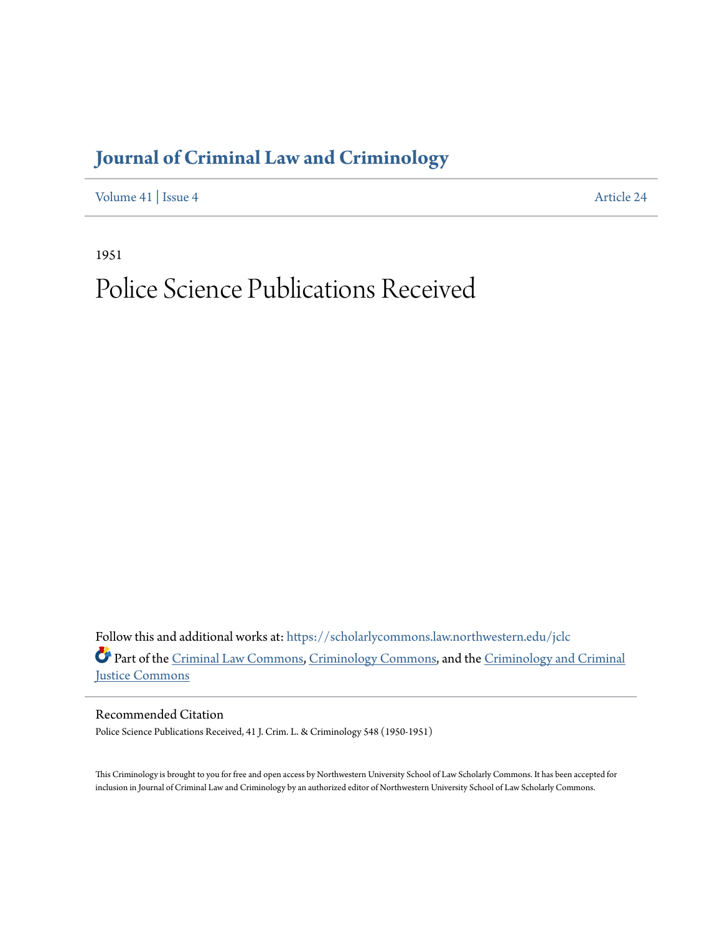## **[Journal of Criminal Law and Criminology](https://scholarlycommons.law.northwestern.edu/jclc?utm_source=scholarlycommons.law.northwestern.edu%2Fjclc%2Fvol41%2Fiss4%2F24&utm_medium=PDF&utm_campaign=PDFCoverPages)**

[Volume 41](https://scholarlycommons.law.northwestern.edu/jclc/vol41?utm_source=scholarlycommons.law.northwestern.edu%2Fjclc%2Fvol41%2Fiss4%2F24&utm_medium=PDF&utm_campaign=PDFCoverPages) | [Issue 4](https://scholarlycommons.law.northwestern.edu/jclc/vol41/iss4?utm_source=scholarlycommons.law.northwestern.edu%2Fjclc%2Fvol41%2Fiss4%2F24&utm_medium=PDF&utm_campaign=PDFCoverPages) [Article 24](https://scholarlycommons.law.northwestern.edu/jclc/vol41/iss4/24?utm_source=scholarlycommons.law.northwestern.edu%2Fjclc%2Fvol41%2Fiss4%2F24&utm_medium=PDF&utm_campaign=PDFCoverPages)

1951

## Police Science Publications Received

Follow this and additional works at: [https://scholarlycommons.law.northwestern.edu/jclc](https://scholarlycommons.law.northwestern.edu/jclc?utm_source=scholarlycommons.law.northwestern.edu%2Fjclc%2Fvol41%2Fiss4%2F24&utm_medium=PDF&utm_campaign=PDFCoverPages) Part of the [Criminal Law Commons](http://network.bepress.com/hgg/discipline/912?utm_source=scholarlycommons.law.northwestern.edu%2Fjclc%2Fvol41%2Fiss4%2F24&utm_medium=PDF&utm_campaign=PDFCoverPages), [Criminology Commons](http://network.bepress.com/hgg/discipline/417?utm_source=scholarlycommons.law.northwestern.edu%2Fjclc%2Fvol41%2Fiss4%2F24&utm_medium=PDF&utm_campaign=PDFCoverPages), and the [Criminology and Criminal](http://network.bepress.com/hgg/discipline/367?utm_source=scholarlycommons.law.northwestern.edu%2Fjclc%2Fvol41%2Fiss4%2F24&utm_medium=PDF&utm_campaign=PDFCoverPages) [Justice Commons](http://network.bepress.com/hgg/discipline/367?utm_source=scholarlycommons.law.northwestern.edu%2Fjclc%2Fvol41%2Fiss4%2F24&utm_medium=PDF&utm_campaign=PDFCoverPages)

Recommended Citation Police Science Publications Received, 41 J. Crim. L. & Criminology 548 (1950-1951)

This Criminology is brought to you for free and open access by Northwestern University School of Law Scholarly Commons. It has been accepted for inclusion in Journal of Criminal Law and Criminology by an authorized editor of Northwestern University School of Law Scholarly Commons.